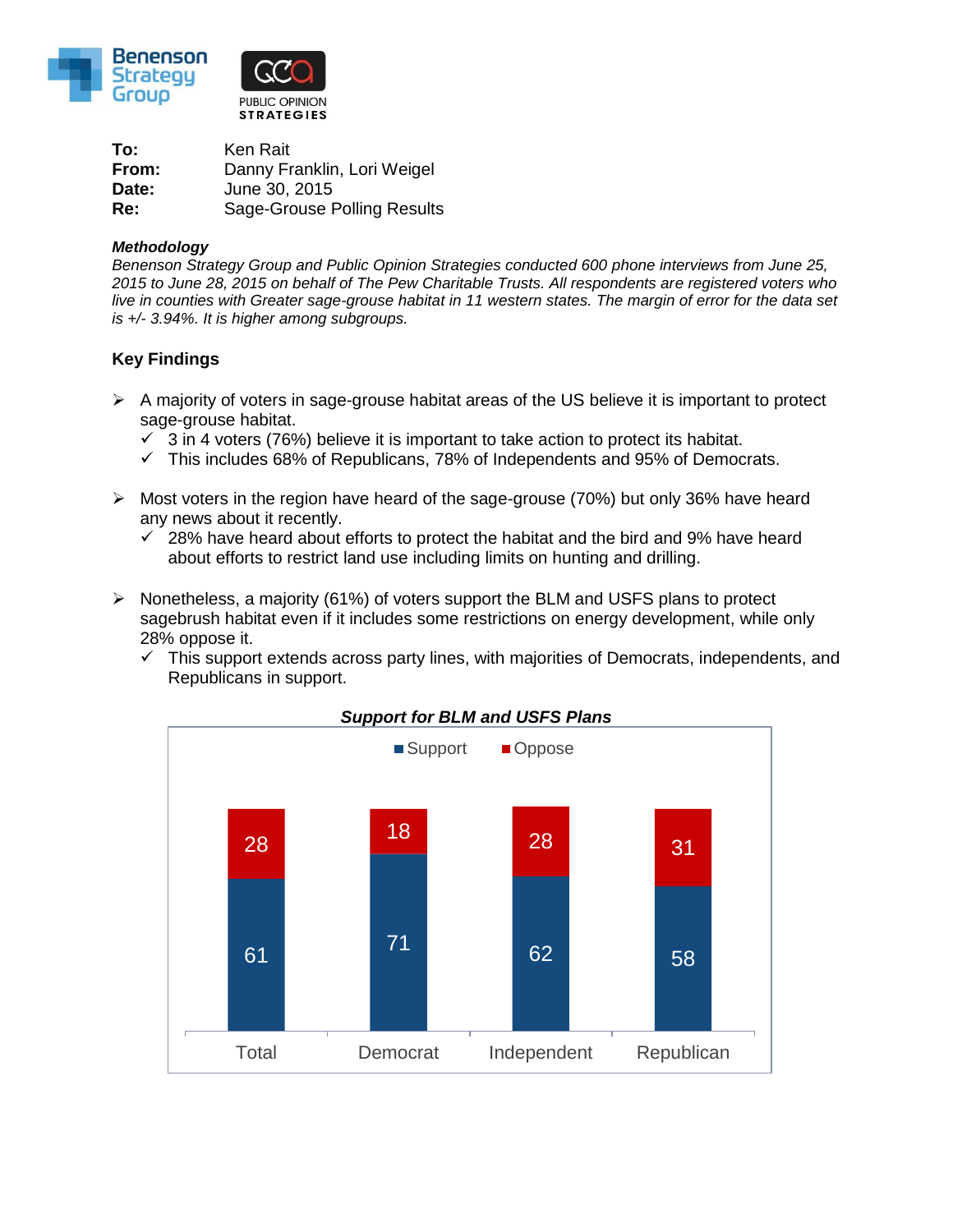

**To:** Ken Rait **From:** Danny Franklin, Lori Weigel **Date:** June 30, 2015 **Re:** Sage-Grouse Polling Results

## *Methodology*

*Benenson Strategy Group and Public Opinion Strategies conducted 600 phone interviews from June 25, 2015 to June 28, 2015 on behalf of The Pew Charitable Trusts. All respondents are registered voters who live in counties with Greater sage-grouse habitat in 11 western states. The margin of error for the data set is +/- 3.94%. It is higher among subgroups.*

## **Key Findings**

- $\triangleright$  A majority of voters in sage-grouse habitat areas of the US believe it is important to protect sage-grouse habitat.
	- $\checkmark$  3 in 4 voters (76%) believe it is important to take action to protect its habitat.
	- $\checkmark$  This includes 68% of Republicans, 78% of Independents and 95% of Democrats.
- $\triangleright$  Most voters in the region have heard of the sage-grouse (70%) but only 36% have heard any news about it recently.
	- $\checkmark$  28% have heard about efforts to protect the habitat and the bird and 9% have heard about efforts to restrict land use including limits on hunting and drilling.
- $\triangleright$  Nonetheless, a majority (61%) of voters support the BLM and USFS plans to protect sagebrush habitat even if it includes some restrictions on energy development, while only 28% oppose it.
	- $\checkmark$  This support extends across party lines, with majorities of Democrats, independents, and Republicans in support.



## *Support for BLM and USFS Plans*